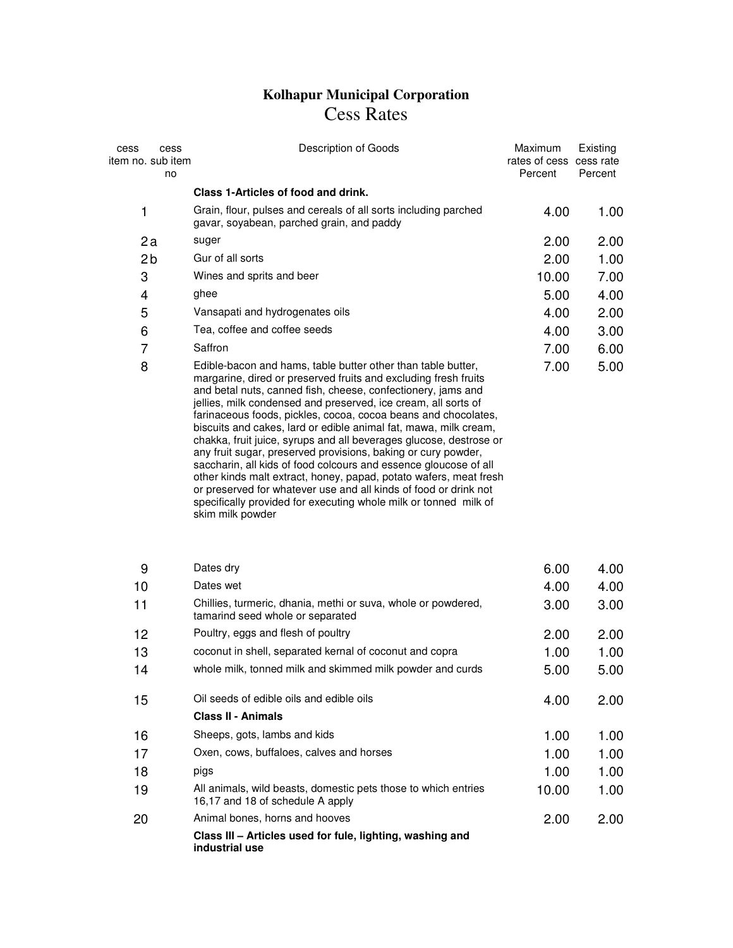## **Kolhapur Municipal Corporation**  Cess Rates

| cess<br>item no. sub item | cess<br>no | Description of Goods                                                                                                                                                                                                                                                                                                                                                                                                                                                                                                                                                                                                                                                                                                                                                                                                                                | Maximum<br>rates of cess cess rate<br>Percent | Existing<br>Percent |
|---------------------------|------------|-----------------------------------------------------------------------------------------------------------------------------------------------------------------------------------------------------------------------------------------------------------------------------------------------------------------------------------------------------------------------------------------------------------------------------------------------------------------------------------------------------------------------------------------------------------------------------------------------------------------------------------------------------------------------------------------------------------------------------------------------------------------------------------------------------------------------------------------------------|-----------------------------------------------|---------------------|
|                           |            | Class 1-Articles of food and drink.                                                                                                                                                                                                                                                                                                                                                                                                                                                                                                                                                                                                                                                                                                                                                                                                                 |                                               |                     |
| 1                         |            | Grain, flour, pulses and cereals of all sorts including parched<br>gavar, soyabean, parched grain, and paddy                                                                                                                                                                                                                                                                                                                                                                                                                                                                                                                                                                                                                                                                                                                                        | 4.00                                          | 1.00                |
| 2a                        |            | suger                                                                                                                                                                                                                                                                                                                                                                                                                                                                                                                                                                                                                                                                                                                                                                                                                                               | 2.00                                          | 2.00                |
| 2 <sub>b</sub>            |            | Gur of all sorts                                                                                                                                                                                                                                                                                                                                                                                                                                                                                                                                                                                                                                                                                                                                                                                                                                    | 2.00                                          | 1.00                |
| 3                         |            | Wines and sprits and beer                                                                                                                                                                                                                                                                                                                                                                                                                                                                                                                                                                                                                                                                                                                                                                                                                           | 10.00                                         | 7.00                |
| 4                         |            | ghee                                                                                                                                                                                                                                                                                                                                                                                                                                                                                                                                                                                                                                                                                                                                                                                                                                                | 5.00                                          | 4.00                |
| 5                         |            | Vansapati and hydrogenates oils                                                                                                                                                                                                                                                                                                                                                                                                                                                                                                                                                                                                                                                                                                                                                                                                                     | 4.00                                          | 2.00                |
| 6                         |            | Tea, coffee and coffee seeds                                                                                                                                                                                                                                                                                                                                                                                                                                                                                                                                                                                                                                                                                                                                                                                                                        | 4.00                                          | 3.00                |
| 7                         |            | Saffron                                                                                                                                                                                                                                                                                                                                                                                                                                                                                                                                                                                                                                                                                                                                                                                                                                             | 7.00                                          | 6.00                |
| 8                         |            | Edible-bacon and hams, table butter other than table butter,<br>margarine, dired or preserved fruits and excluding fresh fruits<br>and betal nuts, canned fish, cheese, confectionery, jams and<br>jellies, milk condensed and preserved, ice cream, all sorts of<br>farinaceous foods, pickles, cocoa, cocoa beans and chocolates,<br>biscuits and cakes, lard or edible animal fat, mawa, milk cream,<br>chakka, fruit juice, syrups and all beverages glucose, destrose or<br>any fruit sugar, preserved provisions, baking or cury powder,<br>saccharin, all kids of food colcours and essence gloucose of all<br>other kinds malt extract, honey, papad, potato wafers, meat fresh<br>or preserved for whatever use and all kinds of food or drink not<br>specifically provided for executing whole milk or tonned milk of<br>skim milk powder | 7.00                                          | 5.00                |
| 9                         |            | Dates dry                                                                                                                                                                                                                                                                                                                                                                                                                                                                                                                                                                                                                                                                                                                                                                                                                                           | 6.00                                          | 4.00                |
| 10                        |            | Dates wet                                                                                                                                                                                                                                                                                                                                                                                                                                                                                                                                                                                                                                                                                                                                                                                                                                           | 4.00                                          | 4.00                |
| 11                        |            | Chillies, turmeric, dhania, methi or suva, whole or powdered,<br>tamarind seed whole or separated                                                                                                                                                                                                                                                                                                                                                                                                                                                                                                                                                                                                                                                                                                                                                   | 3.00                                          | 3.00                |
| 12                        |            | Poultry, eggs and flesh of poultry                                                                                                                                                                                                                                                                                                                                                                                                                                                                                                                                                                                                                                                                                                                                                                                                                  | 2.00                                          | 2.00                |
| 13                        |            | coconut in shell, separated kernal of coconut and copra                                                                                                                                                                                                                                                                                                                                                                                                                                                                                                                                                                                                                                                                                                                                                                                             | 1.00                                          | 1.00                |
| 14                        |            | whole milk, tonned milk and skimmed milk powder and curds                                                                                                                                                                                                                                                                                                                                                                                                                                                                                                                                                                                                                                                                                                                                                                                           | 5.00                                          | 5.00                |
| 15                        |            | Oil seeds of edible oils and edible oils<br><b>Class II - Animals</b>                                                                                                                                                                                                                                                                                                                                                                                                                                                                                                                                                                                                                                                                                                                                                                               | 4.00                                          | 2.00                |
| 16                        |            | Sheeps, gots, lambs and kids                                                                                                                                                                                                                                                                                                                                                                                                                                                                                                                                                                                                                                                                                                                                                                                                                        | 1.00                                          | 1.00                |
| 17                        |            | Oxen, cows, buffaloes, calves and horses                                                                                                                                                                                                                                                                                                                                                                                                                                                                                                                                                                                                                                                                                                                                                                                                            | 1.00                                          | 1.00                |
| 18                        |            | pigs                                                                                                                                                                                                                                                                                                                                                                                                                                                                                                                                                                                                                                                                                                                                                                                                                                                | 1.00                                          | 1.00                |
| 19                        |            | All animals, wild beasts, domestic pets those to which entries<br>16,17 and 18 of schedule A apply                                                                                                                                                                                                                                                                                                                                                                                                                                                                                                                                                                                                                                                                                                                                                  | 10.00                                         | 1.00                |
| 20                        |            | Animal bones, horns and hooves                                                                                                                                                                                                                                                                                                                                                                                                                                                                                                                                                                                                                                                                                                                                                                                                                      | 2.00                                          | 2.00                |
|                           |            | Class III - Articles used for fule, lighting, washing and<br>industrial use                                                                                                                                                                                                                                                                                                                                                                                                                                                                                                                                                                                                                                                                                                                                                                         |                                               |                     |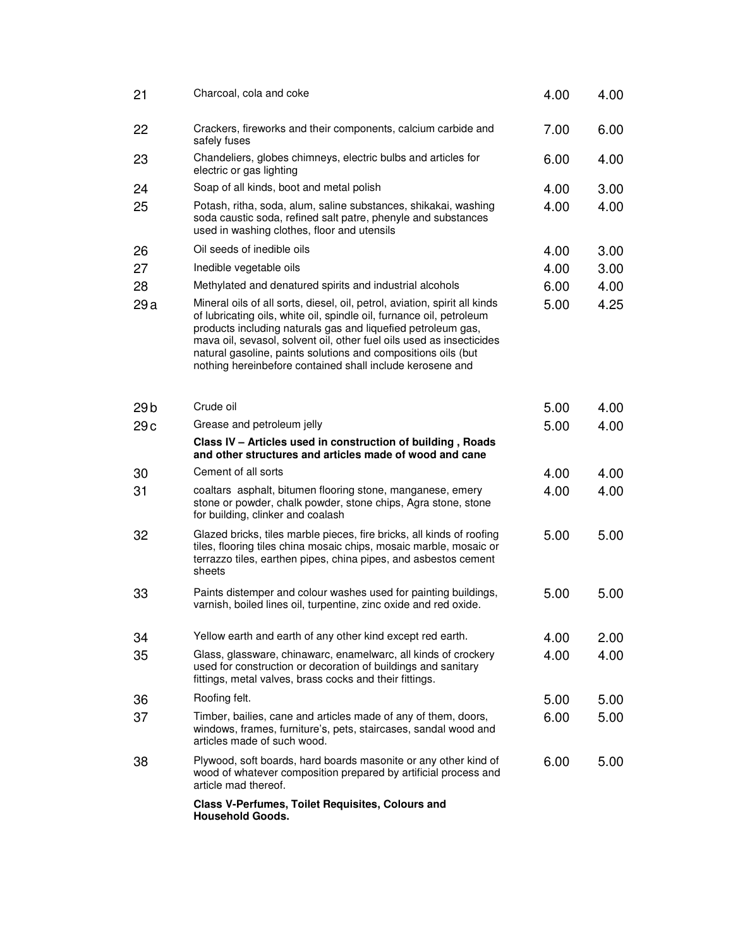| 21              | Charcoal, cola and coke                                                                                                                                                                                                                                                                                                                                                                                                  | 4.00 | 4.00 |
|-----------------|--------------------------------------------------------------------------------------------------------------------------------------------------------------------------------------------------------------------------------------------------------------------------------------------------------------------------------------------------------------------------------------------------------------------------|------|------|
| 22              | Crackers, fireworks and their components, calcium carbide and<br>safely fuses                                                                                                                                                                                                                                                                                                                                            | 7.00 | 6.00 |
| 23              | Chandeliers, globes chimneys, electric bulbs and articles for<br>electric or gas lighting                                                                                                                                                                                                                                                                                                                                | 6.00 | 4.00 |
| 24              | Soap of all kinds, boot and metal polish                                                                                                                                                                                                                                                                                                                                                                                 | 4.00 | 3.00 |
| 25              | Potash, ritha, soda, alum, saline substances, shikakai, washing<br>soda caustic soda, refined salt patre, phenyle and substances<br>used in washing clothes, floor and utensils                                                                                                                                                                                                                                          | 4.00 | 4.00 |
| 26              | Oil seeds of inedible oils                                                                                                                                                                                                                                                                                                                                                                                               | 4.00 | 3.00 |
| 27              | Inedible vegetable oils                                                                                                                                                                                                                                                                                                                                                                                                  | 4.00 | 3.00 |
| 28              | Methylated and denatured spirits and industrial alcohols                                                                                                                                                                                                                                                                                                                                                                 | 6.00 | 4.00 |
| 29a             | Mineral oils of all sorts, diesel, oil, petrol, aviation, spirit all kinds<br>of lubricating oils, white oil, spindle oil, furnance oil, petroleum<br>products including naturals gas and liquefied petroleum gas,<br>mava oil, sevasol, solvent oil, other fuel oils used as insecticides<br>natural gasoline, paints solutions and compositions oils (but<br>nothing hereinbefore contained shall include kerosene and | 5.00 | 4.25 |
| 29 <sub>b</sub> | Crude oil                                                                                                                                                                                                                                                                                                                                                                                                                | 5.00 | 4.00 |
| 29c             | Grease and petroleum jelly                                                                                                                                                                                                                                                                                                                                                                                               | 5.00 | 4.00 |
|                 | Class IV - Articles used in construction of building, Roads<br>and other structures and articles made of wood and cane                                                                                                                                                                                                                                                                                                   |      |      |
| 30              | Cement of all sorts                                                                                                                                                                                                                                                                                                                                                                                                      | 4.00 | 4.00 |
| 31              | coaltars asphalt, bitumen flooring stone, manganese, emery<br>stone or powder, chalk powder, stone chips, Agra stone, stone<br>for building, clinker and coalash                                                                                                                                                                                                                                                         | 4.00 | 4.00 |
| 32              | Glazed bricks, tiles marble pieces, fire bricks, all kinds of roofing<br>tiles, flooring tiles china mosaic chips, mosaic marble, mosaic or<br>terrazzo tiles, earthen pipes, china pipes, and asbestos cement<br>sheets                                                                                                                                                                                                 | 5.00 | 5.00 |
| 33              | Paints distemper and colour washes used for painting buildings,<br>varnish, boiled lines oil, turpentine, zinc oxide and red oxide.                                                                                                                                                                                                                                                                                      | 5.00 | 5.00 |
| 34              | Yellow earth and earth of any other kind except red earth.                                                                                                                                                                                                                                                                                                                                                               | 4.00 | 2.00 |
| 35              | Glass, glassware, chinawarc, enamelwarc, all kinds of crockery<br>used for construction or decoration of buildings and sanitary<br>fittings, metal valves, brass cocks and their fittings.                                                                                                                                                                                                                               | 4.00 | 4.00 |
| 36              | Roofing felt.                                                                                                                                                                                                                                                                                                                                                                                                            | 5.00 | 5.00 |
| 37              | Timber, bailies, cane and articles made of any of them, doors,<br>windows, frames, furniture's, pets, staircases, sandal wood and<br>articles made of such wood.                                                                                                                                                                                                                                                         | 6.00 | 5.00 |
| 38              | Plywood, soft boards, hard boards masonite or any other kind of<br>wood of whatever composition prepared by artificial process and<br>article mad thereof.                                                                                                                                                                                                                                                               | 6.00 | 5.00 |
|                 | Class V-Perfumes, Toilet Requisites, Colours and<br><b>Household Goods.</b>                                                                                                                                                                                                                                                                                                                                              |      |      |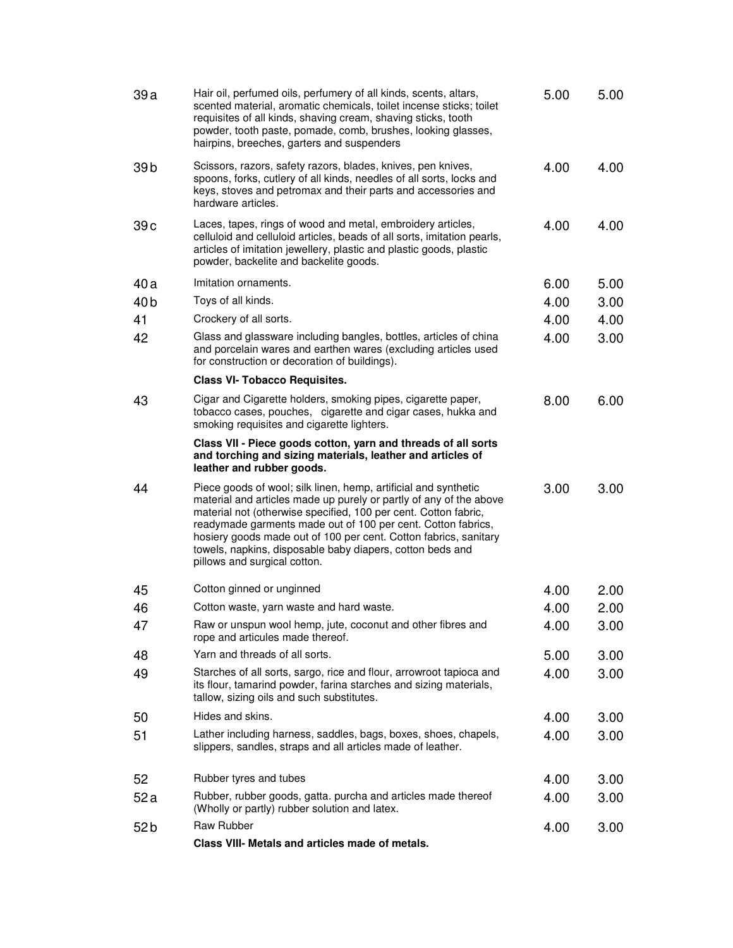| 39a             | Hair oil, perfumed oils, perfumery of all kinds, scents, altars,<br>scented material, aromatic chemicals, toilet incense sticks; toilet<br>requisites of all kinds, shaving cream, shaving sticks, tooth<br>powder, tooth paste, pomade, comb, brushes, looking glasses,<br>hairpins, breeches, garters and suspenders                                                                                                                    | 5.00 | 5.00 |
|-----------------|-------------------------------------------------------------------------------------------------------------------------------------------------------------------------------------------------------------------------------------------------------------------------------------------------------------------------------------------------------------------------------------------------------------------------------------------|------|------|
| 39 <sub>b</sub> | Scissors, razors, safety razors, blades, knives, pen knives,<br>spoons, forks, cutlery of all kinds, needles of all sorts, locks and<br>keys, stoves and petromax and their parts and accessories and<br>hardware articles.                                                                                                                                                                                                               | 4.00 | 4.00 |
| 39c             | Laces, tapes, rings of wood and metal, embroidery articles,<br>celluloid and celluloid articles, beads of all sorts, imitation pearls,<br>articles of imitation jewellery, plastic and plastic goods, plastic<br>powder, backelite and backelite goods.                                                                                                                                                                                   | 4.00 | 4.00 |
| 40a             | Imitation ornaments.                                                                                                                                                                                                                                                                                                                                                                                                                      | 6.00 | 5.00 |
| 40 <sub>b</sub> | Toys of all kinds.                                                                                                                                                                                                                                                                                                                                                                                                                        | 4.00 | 3.00 |
| 41              | Crockery of all sorts.                                                                                                                                                                                                                                                                                                                                                                                                                    | 4.00 | 4.00 |
| 42              | Glass and glassware including bangles, bottles, articles of china<br>and porcelain wares and earthen wares (excluding articles used<br>for construction or decoration of buildings).                                                                                                                                                                                                                                                      | 4.00 | 3.00 |
|                 | <b>Class VI- Tobacco Requisites.</b>                                                                                                                                                                                                                                                                                                                                                                                                      |      |      |
| 43              | Cigar and Cigarette holders, smoking pipes, cigarette paper,<br>tobacco cases, pouches, cigarette and cigar cases, hukka and<br>smoking requisites and cigarette lighters.                                                                                                                                                                                                                                                                | 8.00 | 6.00 |
|                 | Class VII - Piece goods cotton, yarn and threads of all sorts<br>and torching and sizing materials, leather and articles of<br>leather and rubber goods.                                                                                                                                                                                                                                                                                  |      |      |
| 44              | Piece goods of wool; silk linen, hemp, artificial and synthetic<br>material and articles made up purely or partly of any of the above<br>material not (otherwise specified, 100 per cent. Cotton fabric,<br>readymade garments made out of 100 per cent. Cotton fabrics,<br>hosiery goods made out of 100 per cent. Cotton fabrics, sanitary<br>towels, napkins, disposable baby diapers, cotton beds and<br>pillows and surgical cotton. | 3.00 | 3.00 |
| 45              | Cotton ginned or unginned                                                                                                                                                                                                                                                                                                                                                                                                                 | 4.00 | 2.00 |
| 46              | Cotton waste, yarn waste and hard waste.                                                                                                                                                                                                                                                                                                                                                                                                  | 4.00 | 2.00 |
| 47              | Raw or unspun wool hemp, jute, coconut and other fibres and<br>rope and articules made thereof.                                                                                                                                                                                                                                                                                                                                           | 4.00 | 3.00 |
| 48              | Yarn and threads of all sorts.                                                                                                                                                                                                                                                                                                                                                                                                            | 5.00 | 3.00 |
| 49              | Starches of all sorts, sargo, rice and flour, arrowroot tapioca and<br>its flour, tamarind powder, farina starches and sizing materials,<br>tallow, sizing oils and such substitutes.                                                                                                                                                                                                                                                     | 4.00 | 3.00 |
| 50              | Hides and skins.                                                                                                                                                                                                                                                                                                                                                                                                                          | 4.00 | 3.00 |
| 51              | Lather including harness, saddles, bags, boxes, shoes, chapels,<br>slippers, sandles, straps and all articles made of leather.                                                                                                                                                                                                                                                                                                            | 4.00 | 3.00 |
| 52              | Rubber tyres and tubes                                                                                                                                                                                                                                                                                                                                                                                                                    | 4.00 | 3.00 |
| 52 a            | Rubber, rubber goods, gatta. purcha and articles made thereof<br>(Wholly or partly) rubber solution and latex.                                                                                                                                                                                                                                                                                                                            | 4.00 | 3.00 |
| 52b             | Raw Rubber                                                                                                                                                                                                                                                                                                                                                                                                                                | 4.00 | 3.00 |
|                 | Class VIII- Metals and articles made of metals.                                                                                                                                                                                                                                                                                                                                                                                           |      |      |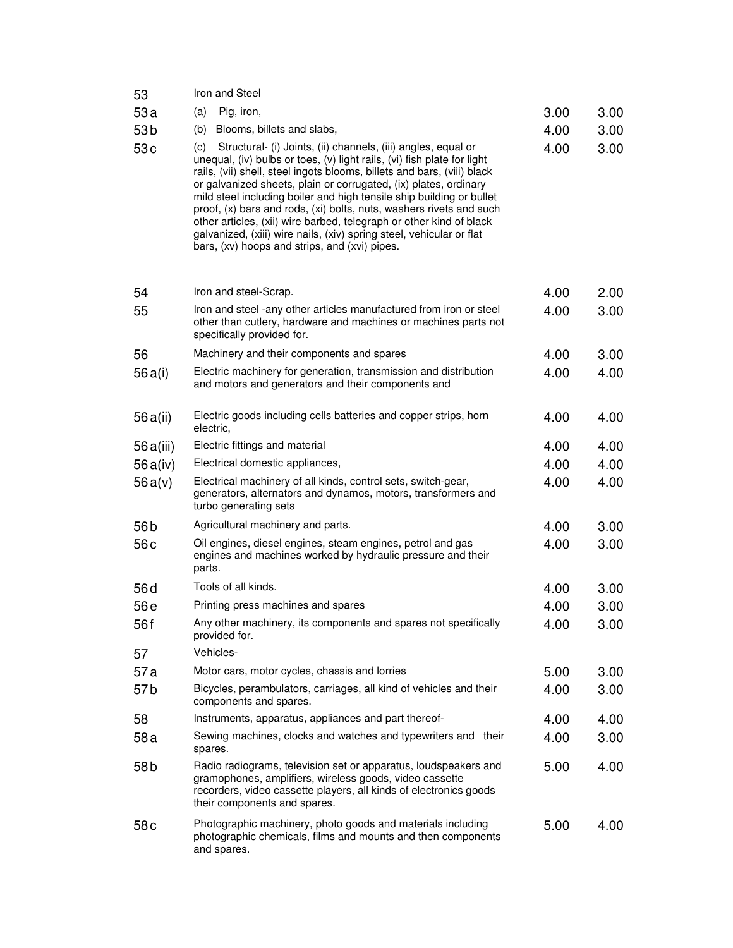| 53              | Iron and Steel                                                                                                                                                                                                                                                                                                                                                                                                                                                                                                                                                                                                                                |      |      |
|-----------------|-----------------------------------------------------------------------------------------------------------------------------------------------------------------------------------------------------------------------------------------------------------------------------------------------------------------------------------------------------------------------------------------------------------------------------------------------------------------------------------------------------------------------------------------------------------------------------------------------------------------------------------------------|------|------|
| 53a             | Pig, iron,<br>(a)                                                                                                                                                                                                                                                                                                                                                                                                                                                                                                                                                                                                                             | 3.00 | 3.00 |
| 53 <sub>b</sub> | Blooms, billets and slabs,<br>(b)                                                                                                                                                                                                                                                                                                                                                                                                                                                                                                                                                                                                             | 4.00 | 3.00 |
| 53c             | Structural- (i) Joints, (ii) channels, (iii) angles, equal or<br>(c)<br>unequal, (iv) bulbs or toes, (v) light rails, (vi) fish plate for light<br>rails, (vii) shell, steel ingots blooms, billets and bars, (viii) black<br>or galvanized sheets, plain or corrugated, (ix) plates, ordinary<br>mild steel including boiler and high tensile ship building or bullet<br>proof, (x) bars and rods, (xi) bolts, nuts, washers rivets and such<br>other articles, (xii) wire barbed, telegraph or other kind of black<br>galvanized, (xiii) wire nails, (xiv) spring steel, vehicular or flat<br>bars, (xv) hoops and strips, and (xvi) pipes. | 4.00 | 3.00 |
| 54              | Iron and steel-Scrap.                                                                                                                                                                                                                                                                                                                                                                                                                                                                                                                                                                                                                         | 4.00 | 2.00 |
| 55              | Iron and steel -any other articles manufactured from iron or steel<br>other than cutlery, hardware and machines or machines parts not<br>specifically provided for.                                                                                                                                                                                                                                                                                                                                                                                                                                                                           | 4.00 | 3.00 |
| 56              | Machinery and their components and spares                                                                                                                                                                                                                                                                                                                                                                                                                                                                                                                                                                                                     | 4.00 | 3.00 |
| 56 a(i)         | Electric machinery for generation, transmission and distribution<br>and motors and generators and their components and                                                                                                                                                                                                                                                                                                                                                                                                                                                                                                                        | 4.00 | 4.00 |
| 56 a(ii)        | Electric goods including cells batteries and copper strips, horn<br>electric,                                                                                                                                                                                                                                                                                                                                                                                                                                                                                                                                                                 | 4.00 | 4.00 |
| 56 a(iii)       | Electric fittings and material                                                                                                                                                                                                                                                                                                                                                                                                                                                                                                                                                                                                                | 4.00 | 4.00 |
| 56 a(iv)        | Electrical domestic appliances,                                                                                                                                                                                                                                                                                                                                                                                                                                                                                                                                                                                                               | 4.00 | 4.00 |
| 56a(v)          | Electrical machinery of all kinds, control sets, switch-gear,<br>generators, alternators and dynamos, motors, transformers and<br>turbo generating sets                                                                                                                                                                                                                                                                                                                                                                                                                                                                                       | 4.00 | 4.00 |
| 56 <sub>b</sub> | Agricultural machinery and parts.                                                                                                                                                                                                                                                                                                                                                                                                                                                                                                                                                                                                             | 4.00 | 3.00 |
| 56c             | Oil engines, diesel engines, steam engines, petrol and gas<br>engines and machines worked by hydraulic pressure and their<br>parts.                                                                                                                                                                                                                                                                                                                                                                                                                                                                                                           | 4.00 | 3.00 |
| 56 <sub>d</sub> | Tools of all kinds.                                                                                                                                                                                                                                                                                                                                                                                                                                                                                                                                                                                                                           | 4.00 | 3.00 |
| 56 e            | Printing press machines and spares                                                                                                                                                                                                                                                                                                                                                                                                                                                                                                                                                                                                            | 4.00 | 3.00 |
| 56 f            | Any other machinery, its components and spares not specifically<br>provided for.                                                                                                                                                                                                                                                                                                                                                                                                                                                                                                                                                              | 4.00 | 3.00 |
| 57              | Vehicles-                                                                                                                                                                                                                                                                                                                                                                                                                                                                                                                                                                                                                                     |      |      |
| 57a             | Motor cars, motor cycles, chassis and lorries                                                                                                                                                                                                                                                                                                                                                                                                                                                                                                                                                                                                 | 5.00 | 3.00 |
| 57 <sub>b</sub> | Bicycles, perambulators, carriages, all kind of vehicles and their<br>components and spares.                                                                                                                                                                                                                                                                                                                                                                                                                                                                                                                                                  | 4.00 | 3.00 |
| 58              | Instruments, apparatus, appliances and part thereof-                                                                                                                                                                                                                                                                                                                                                                                                                                                                                                                                                                                          | 4.00 | 4.00 |
| 58 a            | Sewing machines, clocks and watches and typewriters and their<br>spares.                                                                                                                                                                                                                                                                                                                                                                                                                                                                                                                                                                      | 4.00 | 3.00 |
| 58 b            | Radio radiograms, television set or apparatus, loudspeakers and<br>gramophones, amplifiers, wireless goods, video cassette<br>recorders, video cassette players, all kinds of electronics goods<br>their components and spares.                                                                                                                                                                                                                                                                                                                                                                                                               | 5.00 | 4.00 |
| 58c             | Photographic machinery, photo goods and materials including<br>photographic chemicals, films and mounts and then components<br>and spares.                                                                                                                                                                                                                                                                                                                                                                                                                                                                                                    | 5.00 | 4.00 |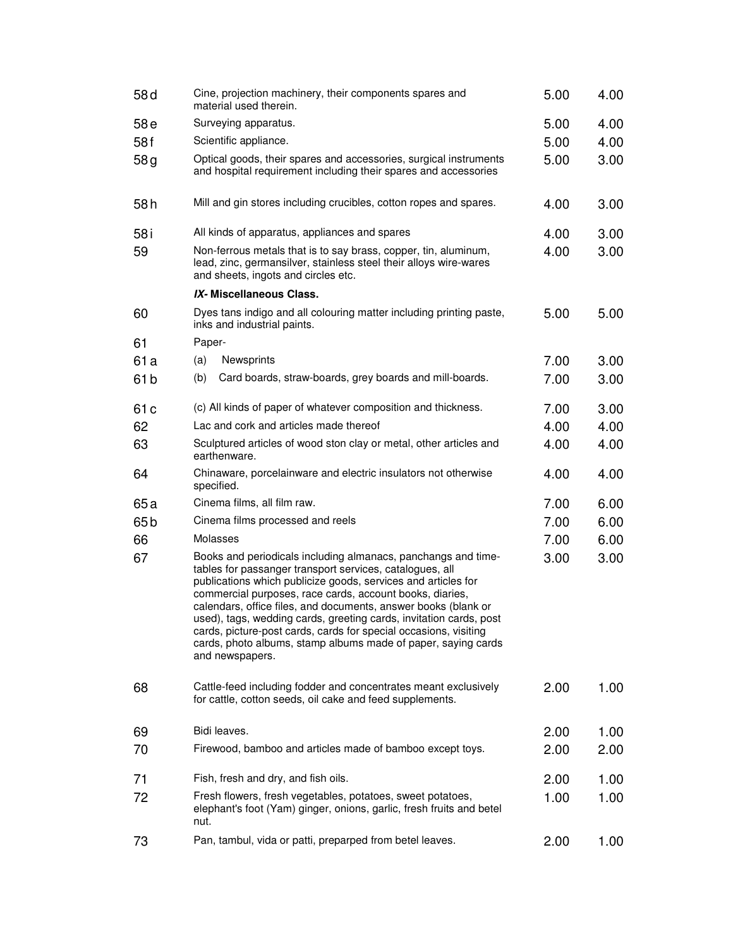| 58 <sub>d</sub> | Cine, projection machinery, their components spares and<br>material used therein.                                                                                                                                                                                                                                                                                                                                                                                                                                                                      | 5.00 | 4.00 |
|-----------------|--------------------------------------------------------------------------------------------------------------------------------------------------------------------------------------------------------------------------------------------------------------------------------------------------------------------------------------------------------------------------------------------------------------------------------------------------------------------------------------------------------------------------------------------------------|------|------|
| 58 e            | Surveying apparatus.                                                                                                                                                                                                                                                                                                                                                                                                                                                                                                                                   | 5.00 | 4.00 |
| 58f             | Scientific appliance.                                                                                                                                                                                                                                                                                                                                                                                                                                                                                                                                  | 5.00 | 4.00 |
| 58g             | Optical goods, their spares and accessories, surgical instruments<br>and hospital requirement including their spares and accessories                                                                                                                                                                                                                                                                                                                                                                                                                   | 5.00 | 3.00 |
| 58h             | Mill and gin stores including crucibles, cotton ropes and spares.                                                                                                                                                                                                                                                                                                                                                                                                                                                                                      | 4.00 | 3.00 |
| 58 i            | All kinds of apparatus, appliances and spares                                                                                                                                                                                                                                                                                                                                                                                                                                                                                                          | 4.00 | 3.00 |
| 59              | Non-ferrous metals that is to say brass, copper, tin, aluminum,<br>lead, zinc, germansilver, stainless steel their alloys wire-wares<br>and sheets, ingots and circles etc.                                                                                                                                                                                                                                                                                                                                                                            | 4.00 | 3.00 |
|                 | IX-Miscellaneous Class.                                                                                                                                                                                                                                                                                                                                                                                                                                                                                                                                |      |      |
| 60              | Dyes tans indigo and all colouring matter including printing paste,<br>inks and industrial paints.                                                                                                                                                                                                                                                                                                                                                                                                                                                     | 5.00 | 5.00 |
| 61              | Paper-                                                                                                                                                                                                                                                                                                                                                                                                                                                                                                                                                 |      |      |
| 61a             | Newsprints<br>(a)                                                                                                                                                                                                                                                                                                                                                                                                                                                                                                                                      | 7.00 | 3.00 |
| 61 <sub>b</sub> | Card boards, straw-boards, grey boards and mill-boards.<br>(b)                                                                                                                                                                                                                                                                                                                                                                                                                                                                                         | 7.00 | 3.00 |
| 61 <sub>c</sub> | (c) All kinds of paper of whatever composition and thickness.                                                                                                                                                                                                                                                                                                                                                                                                                                                                                          | 7.00 | 3.00 |
| 62              | Lac and cork and articles made thereof                                                                                                                                                                                                                                                                                                                                                                                                                                                                                                                 | 4.00 | 4.00 |
| 63              | Sculptured articles of wood ston clay or metal, other articles and<br>earthenware.                                                                                                                                                                                                                                                                                                                                                                                                                                                                     | 4.00 | 4.00 |
| 64              | Chinaware, porcelainware and electric insulators not otherwise<br>specified.                                                                                                                                                                                                                                                                                                                                                                                                                                                                           | 4.00 | 4.00 |
| 65 a            | Cinema films, all film raw.                                                                                                                                                                                                                                                                                                                                                                                                                                                                                                                            | 7.00 | 6.00 |
| 65b             | Cinema films processed and reels                                                                                                                                                                                                                                                                                                                                                                                                                                                                                                                       | 7.00 | 6.00 |
| 66              | Molasses                                                                                                                                                                                                                                                                                                                                                                                                                                                                                                                                               | 7.00 | 6.00 |
| 67              | Books and periodicals including almanacs, panchangs and time-<br>tables for passanger transport services, catalogues, all<br>publications which publicize goods, services and articles for<br>commercial purposes, race cards, account books, diaries,<br>calendars, office files, and documents, answer books (blank or<br>used), tags, wedding cards, greeting cards, invitation cards, post<br>cards, picture-post cards, cards for special occasions, visiting<br>cards, photo albums, stamp albums made of paper, saying cards<br>and newspapers. | 3.00 | 3.00 |
| 68              | Cattle-feed including fodder and concentrates meant exclusively<br>for cattle, cotton seeds, oil cake and feed supplements.                                                                                                                                                                                                                                                                                                                                                                                                                            | 2.00 | 1.00 |
| 69              | Bidi leaves.                                                                                                                                                                                                                                                                                                                                                                                                                                                                                                                                           | 2.00 | 1.00 |
| 70              | Firewood, bamboo and articles made of bamboo except toys.                                                                                                                                                                                                                                                                                                                                                                                                                                                                                              | 2.00 | 2.00 |
|                 |                                                                                                                                                                                                                                                                                                                                                                                                                                                                                                                                                        |      |      |
| 71              | Fish, fresh and dry, and fish oils.                                                                                                                                                                                                                                                                                                                                                                                                                                                                                                                    | 2.00 | 1.00 |
| 72              | Fresh flowers, fresh vegetables, potatoes, sweet potatoes,<br>elephant's foot (Yam) ginger, onions, garlic, fresh fruits and betel<br>nut.                                                                                                                                                                                                                                                                                                                                                                                                             | 1.00 | 1.00 |
| 73              | Pan, tambul, vida or patti, preparped from betel leaves.                                                                                                                                                                                                                                                                                                                                                                                                                                                                                               | 2.00 | 1.00 |